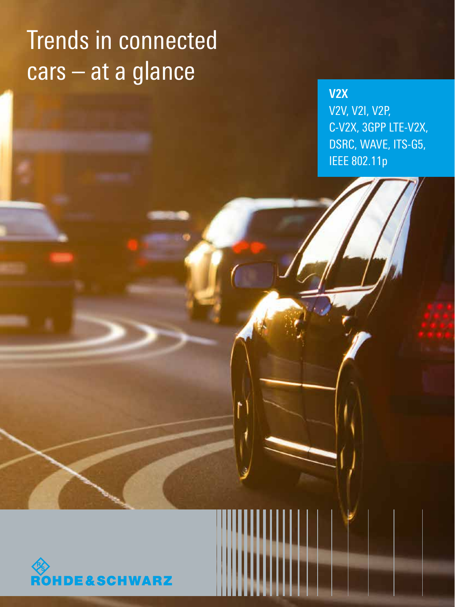# Trends in connected cars – at a glance

**V2X** V2V, V2I, V2P, C-V2X, 3GPP LTE-V2X, DSRC, WAVE, ITS-G5, IEEE 802.11p

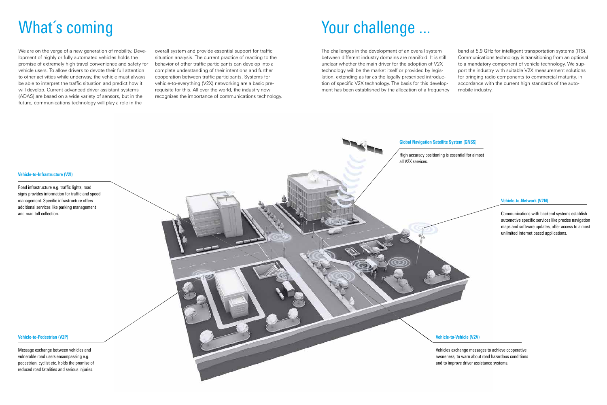**Vehicle-to-Pedestrian (V2P)**

Message exchange between vehicles and vulnerable road users encompassing e.g. pedestrian, cyclist etc. holds the promise of reduced road fatalities and serious injuries.

**Vehicle-to-Vehicle (V2V)**

Vehicles exchange messages to achieve cooperative awareness, to warn about road hazardous conditions and to improve driver assistance systems.

#### **Vehicle-to-Network (V2N)**

Communications with backend systems establish automotive specific services like precise navigation maps and software updates, offer access to almost unlimited internet based applications.



#### **Global Navigation Satellite System (GNSS)**

High accuracy positioning is essential for almost all V2X services.

#### **Vehicle-to-Infrastructure (V2I)**

Road infrastructure e.g. traffic lights, road signs provides information for traffic and speed management. Specific infrastructure offers additional services like parking management and road toll collection.

# What's coming

We are on the verge of a new generation of mobility. Development of highly or fully automated vehicles holds the promise of extremely high travel convenience and safety for vehicle users. To allow drivers to devote their full attention to other activities while underway, the vehicle must always be able to interpret the traffic situation and predict how it will develop. Current advanced driver assistant systems (ADAS) are based on a wide variety of sensors, but in the future, communications technology will play a role in the

overall system and provide essential support for traffic situation analysis. The current practice of reacting to the behavior of other traffic participants can develop into a complete understanding of their intentions and further cooperation between traffic participants. Systems for vehicle-to-everything (V2X) networking are a basic prerequisite for this. All over the world, the industry now recognizes the importance of communications technology.

# Your challenge ...

The challenges in the development of an overall system between different industry domains are manifold. It is still unclear whether the main driver for the adoption of V2X technology will be the market itself or provided by legislation, extending as far as the legally prescribed introduction of specific V2X technology. The basis for this development has been established by the allocation of a frequency band at 5.9 GHz for intelligent transportation systems (ITS). Communications technology is transitioning from an optional to a mandatory component of vehicle technology. We support the industry with suitable V2X measurement solutions for bringing radio components to commercial maturity, in accordance with the current high standards of the automobile industry.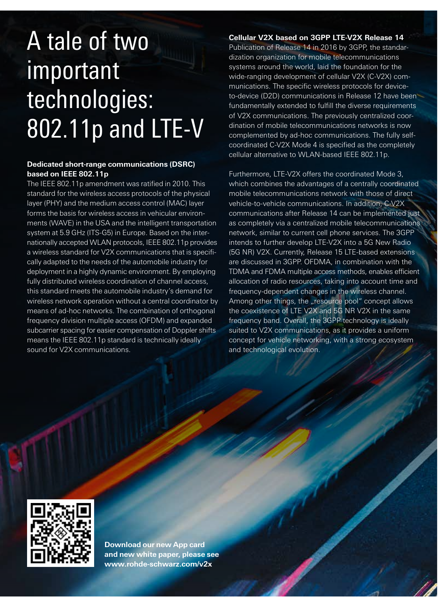# A tale of two important technologies: 802.11p and LTE-V

## **Dedicated short-range communications (DSRC) based on IEEE 802.11p**

The IEEE 802.11p amendment was ratified in 2010. This standard for the wireless access protocols of the physical layer (PHY) and the medium access control (MAC) layer forms the basis for wireless access in vehicular environments (WAVE) in the USA and the intelligent transportation system at 5.9 GHz (ITS-G5) in Europe. Based on the internationally accepted WLAN protocols, IEEE 802.11p provides a wireless standard for V2X communications that is specifically adapted to the needs of the automobile industry for deployment in a highly dynamic environment. By employing fully distributed wireless coordination of channel access, this standard meets the automobile industry's demand for wireless network operation without a central coordinator by means of ad-hoc networks. The combination of orthogonal frequency division multiple access (OFDM) and expanded subcarrier spacing for easier compensation of Doppler shifts means the IEEE 802.11p standard is technically ideally sound for V2X communications.

**Cellular V2X based on 3GPP LTE-V2X Release 14** Publication of Release 14 in 2016 by 3GPP, the standardization organization for mobile telecommunications systems around the world, laid the foundation for the wide-ranging development of cellular V2X (C-V2X) communications. The specific wireless protocols for deviceto-device (D2D) communications in Release 12 have been fundamentally extended to fulfill the diverse requirements of V2X communications. The previously centralized coordination of mobile telecommunications networks is now complemented by ad-hoc communications. The fully selfcoordinated C-V2X Mode 4 is specified as the completely cellular alternative to WLAN-based IEEE 802.11p.

Furthermore, LTE-V2X offers the coordinated Mode 3, which combines the advantages of a centrally coordinated mobile telecommunications network with those of direct vehicle-to-vehicle communications. In addition, C-V2X communications after Release 14 can be implemented just as completely via a centralized mobile telecommunications network, similar to current cell phone services. The 3GPP intends to further develop LTE-V2X into a 5G New Radio (5G NR) V2X. Currently, Release 15 LTE-based extensions are discussed in 3GPP. OFDMA, in combination with the TDMA and FDMA multiple access methods, enables efficient allocation of radio resources, taking into account time and frequency-dependent changes in the wireless channel. Among other things, the "resource pool" concept allows the coexistence of LTE V2X and 5G NR V2X in the same frequency band. Overall, the 3GPP technology is ideally suited to V2X communications, as it provides a uniform concept for vehicle networking, with a strong ecosystem and technological evolution.



**Download our new App card and new white paper, please see www.rohde-schwarz.com/v2x**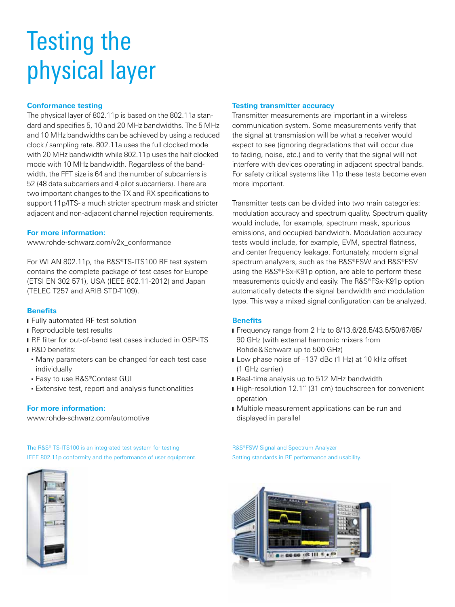# Testing the physical layer

### **Conformance testing**

The physical layer of 802.11p is based on the 802.11a standard and specifies 5, 10 and 20 MHz bandwidths. The 5 MHz and 10 MHz bandwidths can be achieved by using a reduced clock / sampling rate. 802.11a uses the full clocked mode with 20 MHz bandwidth while 802.11p uses the half clocked mode with 10 MHz bandwidth. Regardless of the bandwidth, the FFT size is 64 and the number of subcarriers is 52 (48 data subcarriers and 4 pilot subcarriers). There are two important changes to the TX and RX specifications to support 11p/ITS- a much stricter spectrum mask and stricter adjacent and non-adjacent channel rejection requirements.

### **For more information:**

www.rohde-schwarz.com/v2x\_conformance

For WLAN 802.11p, the R&S®TS-ITS100 RF test system contains the complete package of test cases for Europe (ETSI EN 302 571), USA (IEEE 802.11-2012) and Japan (TELEC T257 and ARIB STD-T109).

### **Benefits**

- **Fully automated RF test solution**
- Reproducible test results
- RF filter for out-of-band test cases included in OSP-ITS
- R&D benefits:
	- Many parameters can be changed for each test case individually
	- Easy to use R&S®Contest GUI
	- Extensive test, report and analysis functionalities

### **For more information:**

www.rohde-schwarz.com/automotive

The R&S® TS-ITS100 is an integrated test system for testing IEEE 802.11p conformity and the performance of user equipment.



#### **Testing transmitter accuracy**

Transmitter measurements are important in a wireless communication system. Some measurements verify that the signal at transmission will be what a receiver would expect to see (ignoring degradations that will occur due to fading, noise, etc.) and to verify that the signal will not interfere with devices operating in adjacent spectral bands. For safety critical systems like 11p these tests become even more important.

Transmitter tests can be divided into two main categories: modulation accuracy and spectrum quality. Spectrum quality would include, for example, spectrum mask, spurious emissions, and occupied bandwidth. Modulation accuracy tests would include, for example, EVM, spectral flatness, and center frequency leakage. Fortunately, modern signal spectrum analyzers, such as the R&S®FSW and R&S®FSV using the R&S®FSx-K91p option, are able to perform these measurements quickly and easily. The R&S®FSx-K91p option automatically detects the signal bandwidth and modulation type. This way a mixed signal configuration can be analyzed.

### **Benefits**

- Frequency range from 2 Hz to 8/13.6/26.5/43.5/50/67/85/ 90 GHz (with external harmonic mixers from Rohde&Schwarz up to 500 GHz)
- Low phase noise of –137 dBc (1 Hz) at 10 kHz offset (1 GHz carrier)
- Real-time analysis up to 512 MHz bandwidth
- High-resolution 12.1" (31 cm) touchscreen for convenient operation
- Multiple measurement applications can be run and displayed in parallel

R&S®FSW Signal and Spectrum Analyzer Setting standards in RF performance and usability.

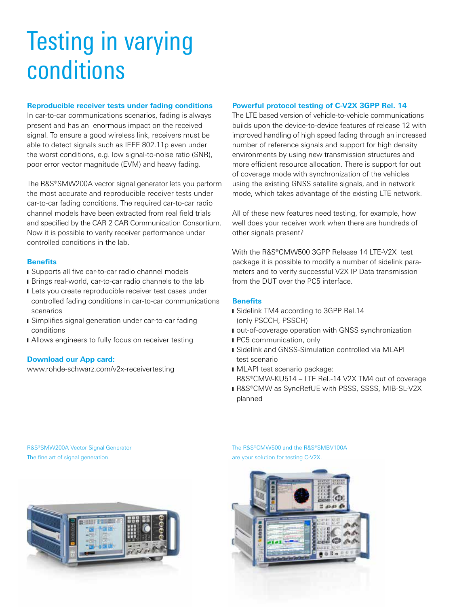# Testing in varying conditions

#### **Reproducible receiver tests under fading conditions**

In car-to-car communications scenarios, fading is always present and has an enormous impact on the received signal. To ensure a good wireless link, receivers must be able to detect signals such as IEEE 802.11p even under the worst conditions, e.g. low signal-to-noise ratio (SNR), poor error vector magnitude (EVM) and heavy fading.

The R&S®SMW200A vector signal generator lets you perform the most accurate and reproducible receiver tests under car-to-car fading conditions. The required car-to-car radio channel models have been extracted from real field trials and specified by the CAR 2 CAR Communication Consortium. Now it is possible to verify receiver performance under controlled conditions in the lab.

#### **Benefits**

- Supports all five car-to-car radio channel models
- Brings real-world, car-to-car radio channels to the lab
- Lets you create reproducible receiver test cases under controlled fading conditions in car-to-car communications scenarios
- **■** Simplifies signal generation under car-to-car fading conditions
- Allows engineers to fully focus on receiver testing

### **Download our App card:**

www.rohde-schwarz.com/v2x-receivertesting

#### **Powerful protocol testing of C-V2X 3GPP Rel. 14**

The LTE based version of vehicle-to-vehicle communications builds upon the device-to-device features of release 12 with improved handling of high speed fading through an increased number of reference signals and support for high density environments by using new transmission structures and more efficient resource allocation. There is support for out of coverage mode with synchronization of the vehicles using the existing GNSS satellite signals, and in network mode, which takes advantage of the existing LTE network.

All of these new features need testing, for example, how well does your receiver work when there are hundreds of other signals present?

With the R&S®CMW500 3GPP Release 14 LTE-V2X test package it is possible to modify a number of sidelink parameters and to verify successful V2X IP Data transmission from the DUT over the PC5 interface.

#### **Benefits**

- Sidelink TM4 according to 3GPP Rel.14 (only PSCCH, PSSCH)
- I out-of-coverage operation with GNSS synchronization
- PC5 communication, only
- **I** Sidelink and GNSS-Simulation controlled via MLAPI test scenario
- ❙ MLAPI test scenario package: R&S®CMW-KU514 – LTE Rel.-14 V2X TM4 out of coverage
- **R&S®CMW as SyncRefUE with PSSS, SSSS, MIB-SL-V2X** planned

R&S®SMW200A Vector Signal Generator The fine art of signal generation.



The R&S®CMW500 and the R&S®SMBV100A are your solution for testing C-V2X.

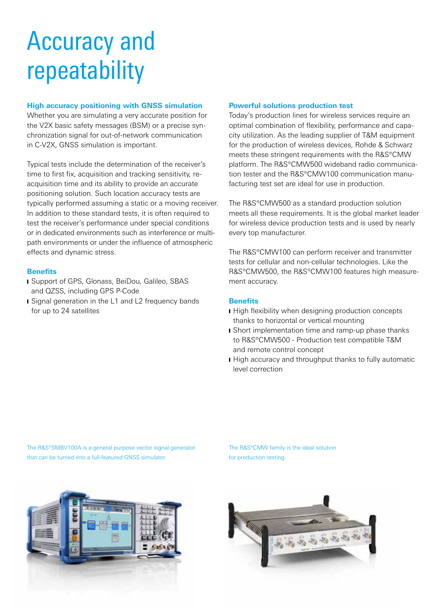# Accuracy and repeatability

### **High accuracy positioning with GNSS simulation**

Whether you are simulating a very accurate position for the V2X basic safety messages (BSM) or a precise synchronization signal for out-of-network communication in C-V2X, GNSS simulation is important.

Typical tests include the determination of the receiver's time to first fix, acquisition and tracking sensitivity, reacquisition time and its ability to provide an accurate positioning solution. Such location accuracy tests are typically performed assuming a static or a moving receiver. In addition to these standard tests, it is often required to test the receiver's performance under special conditions or in dedicated environments such as interference or multipath environments or under the influence of atmospheric effects and dynamic stress.

### **Benefits**

- Support of GPS, Glonass, BeiDou, Galileo, SBAS and QZSS, including GPS P-Code
- Signal generation in the L1 and L2 frequency bands for up to 24 satellites

### **Powerful solutions production test**

Today's production lines for wireless services require an optimal combination of flexibility, performance and capacity utilization. As the leading supplier of T&M equipment for the production of wireless devices, Rohde & Schwarz meets these stringent requirements with the R&S®CMW platform. The R&S®CMW500 wideband radio communication tester and the R&S®CMW100 communication manufacturing test set are ideal for use in production.

The R&S®CMW500 as a standard production solution meets all these requirements. It is the global market leader for wireless device production tests and is used by nearly every top manufacturer.

The R&S®CMW100 can perform receiver and transmitter tests for cellular and non-cellular technologies. Like the R&S®CMW500, the R&S®CMW100 features high measurement accuracy.

### **Benefits**

- High flexibility when designing production concepts thanks to horizontal or vertical mounting
- **■** Short implementation time and ramp-up phase thanks to R&S®CMW500 - Production test compatible T&M and remote control concept
- High accuracy and throughput thanks to fully automatic level correction

The R&S®SMBV100A is a general purpose vector signal generator that can be turned into a full-featured GNSS simulator.

The R&S®CMW family is the ideal solution for production testing.